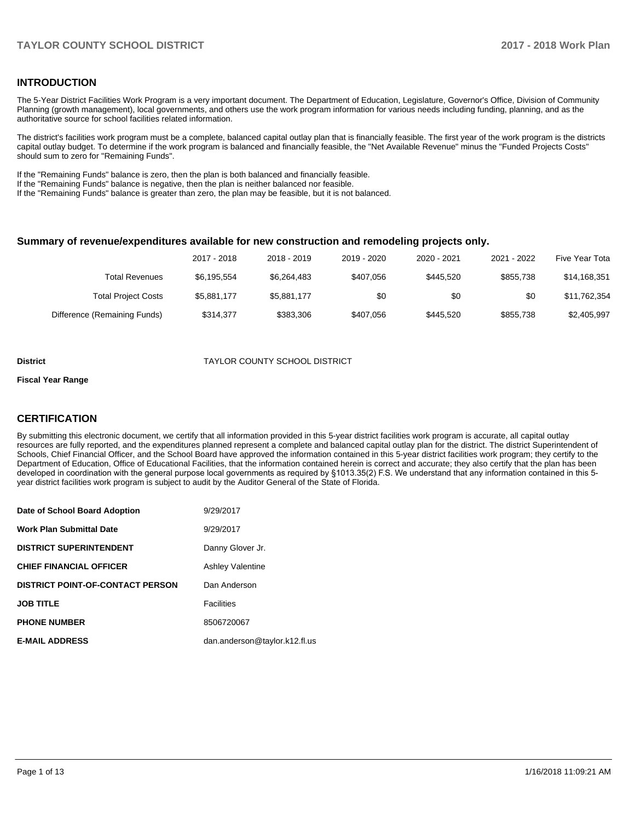## **INTRODUCTION**

The 5-Year District Facilities Work Program is a very important document. The Department of Education, Legislature, Governor's Office, Division of Community Planning (growth management), local governments, and others use the work program information for various needs including funding, planning, and as the authoritative source for school facilities related information.

The district's facilities work program must be a complete, balanced capital outlay plan that is financially feasible. The first year of the work program is the districts capital outlay budget. To determine if the work program is balanced and financially feasible, the "Net Available Revenue" minus the "Funded Projects Costs" should sum to zero for "Remaining Funds".

If the "Remaining Funds" balance is zero, then the plan is both balanced and financially feasible.

If the "Remaining Funds" balance is negative, then the plan is neither balanced nor feasible.

If the "Remaining Funds" balance is greater than zero, the plan may be feasible, but it is not balanced.

#### **Summary of revenue/expenditures available for new construction and remodeling projects only.**

| Five Year Tota | 2021 - 2022 | 2020 - 2021 | 2019 - 2020 | 2018 - 2019 | 2017 - 2018 |                              |
|----------------|-------------|-------------|-------------|-------------|-------------|------------------------------|
| \$14,168,351   | \$855.738   | \$445.520   | \$407.056   | \$6,264,483 | \$6,195,554 | Total Revenues               |
| \$11,762,354   | \$0         | \$0         | \$0         | \$5,881,177 | \$5,881,177 | <b>Total Project Costs</b>   |
| \$2,405,997    | \$855.738   | \$445.520   | \$407.056   | \$383.306   | \$314.377   | Difference (Remaining Funds) |

#### **District** TAYLOR COUNTY SCHOOL DISTRICT

#### **Fiscal Year Range**

## **CERTIFICATION**

By submitting this electronic document, we certify that all information provided in this 5-year district facilities work program is accurate, all capital outlay resources are fully reported, and the expenditures planned represent a complete and balanced capital outlay plan for the district. The district Superintendent of Schools, Chief Financial Officer, and the School Board have approved the information contained in this 5-year district facilities work program; they certify to the Department of Education, Office of Educational Facilities, that the information contained herein is correct and accurate; they also certify that the plan has been developed in coordination with the general purpose local governments as required by §1013.35(2) F.S. We understand that any information contained in this 5year district facilities work program is subject to audit by the Auditor General of the State of Florida.

| Date of School Board Adoption           | 9/29/2017                     |
|-----------------------------------------|-------------------------------|
| <b>Work Plan Submittal Date</b>         | 9/29/2017                     |
| <b>DISTRICT SUPERINTENDENT</b>          | Danny Glover Jr.              |
| <b>CHIEF FINANCIAL OFFICER</b>          | <b>Ashley Valentine</b>       |
| <b>DISTRICT POINT-OF-CONTACT PERSON</b> | Dan Anderson                  |
| <b>JOB TITLE</b>                        | <b>Facilities</b>             |
| <b>PHONE NUMBER</b>                     | 8506720067                    |
| <b>E-MAIL ADDRESS</b>                   | dan.anderson@taylor.k12.fl.us |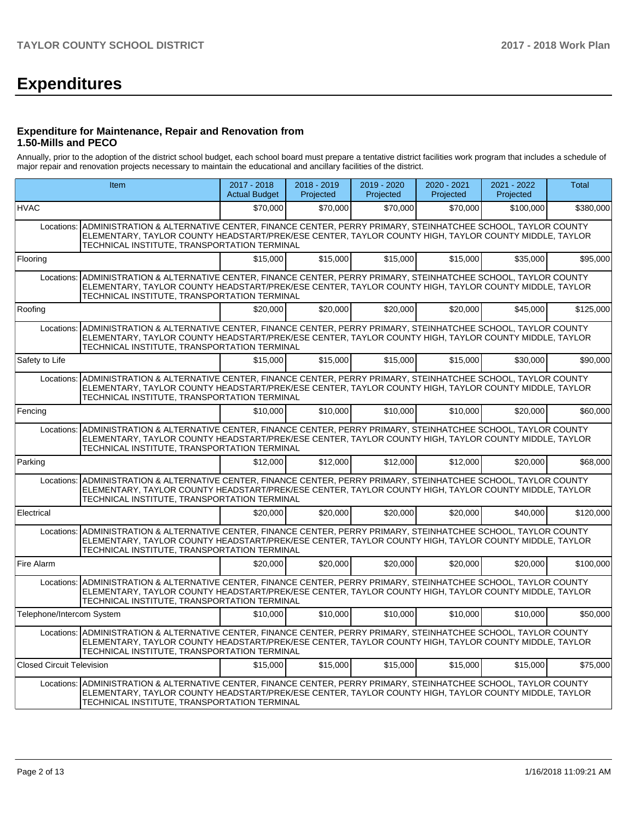# **Expenditures**

## **Expenditure for Maintenance, Repair and Renovation from 1.50-Mills and PECO**

Annually, prior to the adoption of the district school budget, each school board must prepare a tentative district facilities work program that includes a schedule of major repair and renovation projects necessary to maintain the educational and ancillary facilities of the district.

|                                  | <b>Item</b>                                                                                                                                                                                                                                                                | 2017 - 2018<br><b>Actual Budget</b> | $2018 - 2019$<br>Projected | 2019 - 2020<br>Projected | $2020 - 2021$<br>Projected | 2021 - 2022<br>Projected | <b>Total</b> |
|----------------------------------|----------------------------------------------------------------------------------------------------------------------------------------------------------------------------------------------------------------------------------------------------------------------------|-------------------------------------|----------------------------|--------------------------|----------------------------|--------------------------|--------------|
| <b>HVAC</b>                      |                                                                                                                                                                                                                                                                            | \$70,000                            | \$70,000                   | \$70,000                 | \$70,000                   | \$100,000                | \$380,000    |
| Locations:                       | ADMINISTRATION & ALTERNATIVE CENTER, FINANCE CENTER, PERRY PRIMARY, STEINHATCHEE SCHOOL, TAYLOR COUNTY<br>ELEMENTARY, TAYLOR COUNTY HEADSTART/PREK/ESE CENTER, TAYLOR COUNTY HIGH, TAYLOR COUNTY MIDDLE, TAYLOR<br>TECHNICAL INSTITUTE, TRANSPORTATION TERMINAL            |                                     |                            |                          |                            |                          |              |
| Flooring                         |                                                                                                                                                                                                                                                                            | \$15,000                            | \$15,000                   | \$15,000                 | \$15,000                   | \$35,000                 | \$95,000     |
|                                  | Locations: ADMINISTRATION & ALTERNATIVE CENTER, FINANCE CENTER, PERRY PRIMARY, STEINHATCHEE SCHOOL, TAYLOR COUNTY<br>ELEMENTARY, TAYLOR COUNTY HEADSTART/PREK/ESE CENTER, TAYLOR COUNTY HIGH, TAYLOR COUNTY MIDDLE, TAYLOR<br>TECHNICAL INSTITUTE, TRANSPORTATION TERMINAL |                                     |                            |                          |                            |                          |              |
| Roofing                          |                                                                                                                                                                                                                                                                            | \$20,000                            | \$20,000                   | \$20,000                 | \$20,000                   | \$45,000                 | \$125,000    |
|                                  | Locations: ADMINISTRATION & ALTERNATIVE CENTER, FINANCE CENTER, PERRY PRIMARY, STEINHATCHEE SCHOOL, TAYLOR COUNTY<br>ELEMENTARY, TAYLOR COUNTY HEADSTART/PREK/ESE CENTER, TAYLOR COUNTY HIGH, TAYLOR COUNTY MIDDLE, TAYLOR<br>TECHNICAL INSTITUTE, TRANSPORTATION TERMINAL |                                     |                            |                          |                            |                          |              |
| Safety to Life                   |                                                                                                                                                                                                                                                                            | \$15,000                            | \$15,000                   | \$15,000                 | \$15,000                   | \$30,000                 | \$90,000     |
|                                  | Locations: ADMINISTRATION & ALTERNATIVE CENTER, FINANCE CENTER, PERRY PRIMARY, STEINHATCHEE SCHOOL, TAYLOR COUNTY<br>ELEMENTARY, TAYLOR COUNTY HEADSTART/PREK/ESE CENTER, TAYLOR COUNTY HIGH, TAYLOR COUNTY MIDDLE, TAYLOR<br>TECHNICAL INSTITUTE, TRANSPORTATION TERMINAL |                                     |                            |                          |                            |                          |              |
| Fencing                          |                                                                                                                                                                                                                                                                            | \$10,000                            | \$10,000                   | \$10,000                 | \$10,000                   | \$20,000                 | \$60,000     |
|                                  | Locations: ADMINISTRATION & ALTERNATIVE CENTER, FINANCE CENTER, PERRY PRIMARY, STEINHATCHEE SCHOOL, TAYLOR COUNTY<br>ELEMENTARY, TAYLOR COUNTY HEADSTART/PREK/ESE CENTER, TAYLOR COUNTY HIGH, TAYLOR COUNTY MIDDLE, TAYLOR<br>TECHNICAL INSTITUTE, TRANSPORTATION TERMINAL |                                     |                            |                          |                            |                          |              |
| Parking                          |                                                                                                                                                                                                                                                                            | \$12,000                            | \$12,000                   | \$12,000                 | \$12,000                   | \$20,000                 | \$68,000     |
|                                  | Locations: ADMINISTRATION & ALTERNATIVE CENTER, FINANCE CENTER, PERRY PRIMARY, STEINHATCHEE SCHOOL, TAYLOR COUNTY<br>ELEMENTARY, TAYLOR COUNTY HEADSTART/PREK/ESE CENTER, TAYLOR COUNTY HIGH, TAYLOR COUNTY MIDDLE, TAYLOR<br>TECHNICAL INSTITUTE, TRANSPORTATION TERMINAL |                                     |                            |                          |                            |                          |              |
| Electrical                       |                                                                                                                                                                                                                                                                            | \$20,000                            | \$20,000                   | \$20,000                 | \$20,000                   | \$40,000                 | \$120,000    |
| Locations:                       | ADMINISTRATION & ALTERNATIVE CENTER. FINANCE CENTER. PERRY PRIMARY. STEINHATCHEE SCHOOL. TAYLOR COUNTY<br>ELEMENTARY, TAYLOR COUNTY HEADSTART/PREK/ESE CENTER, TAYLOR COUNTY HIGH, TAYLOR COUNTY MIDDLE, TAYLOR<br>TECHNICAL INSTITUTE, TRANSPORTATION TERMINAL            |                                     |                            |                          |                            |                          |              |
| Fire Alarm                       |                                                                                                                                                                                                                                                                            | \$20,000                            | \$20,000                   | \$20,000                 | \$20,000                   | \$20,000                 | \$100,000    |
| Locations:                       | ADMINISTRATION & ALTERNATIVE CENTER, FINANCE CENTER, PERRY PRIMARY, STEINHATCHEE SCHOOL, TAYLOR COUNTY<br>ELEMENTARY, TAYLOR COUNTY HEADSTART/PREK/ESE CENTER, TAYLOR COUNTY HIGH, TAYLOR COUNTY MIDDLE, TAYLOR<br>TECHNICAL INSTITUTE, TRANSPORTATION TERMINAL            |                                     |                            |                          |                            |                          |              |
| Telephone/Intercom System        |                                                                                                                                                                                                                                                                            | \$10,000                            | \$10,000                   | \$10,000                 | \$10,000                   | \$10,000                 | \$50,000     |
|                                  | Locations: ADMINISTRATION & ALTERNATIVE CENTER, FINANCE CENTER, PERRY PRIMARY, STEINHATCHEE SCHOOL, TAYLOR COUNTY<br>ELEMENTARY, TAYLOR COUNTY HEADSTART/PREK/ESE CENTER, TAYLOR COUNTY HIGH, TAYLOR COUNTY MIDDLE, TAYLOR<br>TECHNICAL INSTITUTE, TRANSPORTATION TERMINAL |                                     |                            |                          |                            |                          |              |
| <b>Closed Circuit Television</b> |                                                                                                                                                                                                                                                                            | \$15,000                            | \$15,000                   | \$15,000                 | \$15,000                   | \$15,000                 | \$75,000     |
|                                  | Locations: ADMINISTRATION & ALTERNATIVE CENTER, FINANCE CENTER, PERRY PRIMARY, STEINHATCHEE SCHOOL, TAYLOR COUNTY<br>ELEMENTARY, TAYLOR COUNTY HEADSTART/PREK/ESE CENTER, TAYLOR COUNTY HIGH, TAYLOR COUNTY MIDDLE, TAYLOR<br>TECHNICAL INSTITUTE, TRANSPORTATION TERMINAL |                                     |                            |                          |                            |                          |              |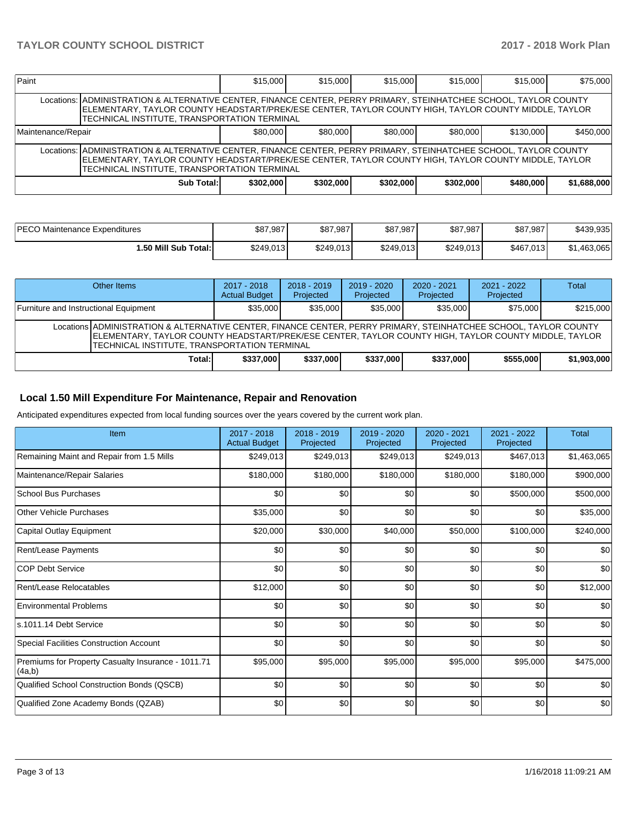| Paint                                                                                                                                                                                                                                                                       |                                                                                                                                                                                                                                                                             | \$15,000  | \$15,000  | \$15,000  | \$15,000  | \$15,000  | \$75,000    |  |  |  |
|-----------------------------------------------------------------------------------------------------------------------------------------------------------------------------------------------------------------------------------------------------------------------------|-----------------------------------------------------------------------------------------------------------------------------------------------------------------------------------------------------------------------------------------------------------------------------|-----------|-----------|-----------|-----------|-----------|-------------|--|--|--|
|                                                                                                                                                                                                                                                                             | Locations:  ADMINISTRATION & ALTERNATIVE CENTER, FINANCE CENTER, PERRY PRIMARY, STEINHATCHEE SCHOOL, TAYLOR COUNTY<br>ELEMENTARY, TAYLOR COUNTY HEADSTART/PREK/ESE CENTER, TAYLOR COUNTY HIGH, TAYLOR COUNTY MIDDLE, TAYLOR<br>TECHNICAL INSTITUTE, TRANSPORTATION TERMINAL |           |           |           |           |           |             |  |  |  |
| \$80,000<br>\$80,000<br>\$80,000<br>\$80,000<br>Maintenance/Repair                                                                                                                                                                                                          |                                                                                                                                                                                                                                                                             |           |           |           |           | \$130,000 | \$450,000   |  |  |  |
| Locations:  ADMINISTRATION & ALTERNATIVE CENTER, FINANCE CENTER, PERRY PRIMARY, STEINHATCHEE SCHOOL, TAYLOR COUNTY<br>ELEMENTARY, TAYLOR COUNTY HEADSTART/PREK/ESE CENTER, TAYLOR COUNTY HIGH, TAYLOR COUNTY MIDDLE, TAYLOR<br>TECHNICAL INSTITUTE, TRANSPORTATION TERMINAL |                                                                                                                                                                                                                                                                             |           |           |           |           |           |             |  |  |  |
|                                                                                                                                                                                                                                                                             | Sub Total:                                                                                                                                                                                                                                                                  | \$302,000 | \$302,000 | \$302,000 | \$302,000 | \$480,000 | \$1,688,000 |  |  |  |

| PECO Maintenance Expenditures | \$87,987  | \$87,987  | \$87,987  | \$87,987  | \$87,987  | \$439,935   |
|-------------------------------|-----------|-----------|-----------|-----------|-----------|-------------|
| 1.50 Mill Sub Total:          | \$249.013 | \$249.013 | \$249.013 | \$249.013 | \$467,013 | \$1.463.065 |

| Other Items                                                                                                                                                                                                                                                                      | 2017 - 2018<br><b>Actual Budget</b> | $2018 - 2019$<br>Projected | 2019 - 2020<br>Projected | $2020 - 2021$<br>Projected | $2021 - 2022$<br>Projected | <b>Total</b> |  |  |  |
|----------------------------------------------------------------------------------------------------------------------------------------------------------------------------------------------------------------------------------------------------------------------------------|-------------------------------------|----------------------------|--------------------------|----------------------------|----------------------------|--------------|--|--|--|
| Furniture and Instructional Equipment                                                                                                                                                                                                                                            | \$35,000                            | \$35,000                   | \$35,000                 | \$35,000                   | \$75,000                   | \$215,000    |  |  |  |
| Locations ADMINISTRATION & ALTERNATIVE CENTER, FINANCE CENTER, PERRY PRIMARY, STEINHATCHEE SCHOOL, TAYLOR COUNTY<br>ELEMENTARY, TAYLOR COUNTY HEADSTART/PREK/ESE CENTER, TAYLOR COUNTY HIGH, TAYLOR COUNTY MIDDLE, TAYLOR<br><b>TECHNICAL INSTITUTE, TRANSPORTATION TERMINAL</b> |                                     |                            |                          |                            |                            |              |  |  |  |
| Total:I                                                                                                                                                                                                                                                                          | \$337,000                           | \$337,000                  | \$337,000                | \$337,000                  | \$555,000                  | \$1,903,000  |  |  |  |

## **Local 1.50 Mill Expenditure For Maintenance, Repair and Renovation**

Anticipated expenditures expected from local funding sources over the years covered by the current work plan.

| Item                                                         | 2017 - 2018<br><b>Actual Budget</b> | $2018 - 2019$<br>Projected | $2019 - 2020$<br>Projected | $2020 - 2021$<br>Projected | 2021 - 2022<br>Projected | <b>Total</b> |
|--------------------------------------------------------------|-------------------------------------|----------------------------|----------------------------|----------------------------|--------------------------|--------------|
| Remaining Maint and Repair from 1.5 Mills                    | \$249,013                           | \$249,013                  | \$249,013                  | \$249,013                  | \$467,013                | \$1,463,065  |
| Maintenance/Repair Salaries                                  | \$180,000                           | \$180,000                  | \$180,000                  | \$180,000                  | \$180,000                | \$900,000    |
| <b>School Bus Purchases</b>                                  | \$0 <sub>1</sub>                    | \$0                        | \$0                        | \$0                        | \$500,000                | \$500,000    |
| Other Vehicle Purchases                                      | \$35,000                            | \$0                        | \$0                        | \$0                        | \$0                      | \$35,000     |
| Capital Outlay Equipment                                     | \$20,000                            | \$30,000                   | \$40,000                   | \$50,000                   | \$100,000                | \$240,000    |
| Rent/Lease Payments                                          | \$0                                 | \$0                        | \$0                        | \$0                        | \$0                      | \$0          |
| <b>COP Debt Service</b>                                      | \$0                                 | \$0                        | \$0                        | \$0                        | \$0                      | \$0          |
| Rent/Lease Relocatables                                      | \$12,000                            | \$0                        | \$0                        | \$0                        | \$0                      | \$12,000     |
| Environmental Problems                                       | \$0                                 | \$0                        | \$0                        | \$0                        | \$0                      | \$0          |
| ls.1011.14 Debt Service                                      | \$0                                 | \$0                        | \$0                        | \$0                        | \$0                      | \$0          |
| Special Facilities Construction Account                      | \$0                                 | \$0                        | \$0                        | \$0                        | \$0                      | \$0          |
| Premiums for Property Casualty Insurance - 1011.71<br>(4a,b) | \$95,000                            | \$95,000                   | \$95,000                   | \$95,000                   | \$95,000                 | \$475,000    |
| Qualified School Construction Bonds (QSCB)                   | \$0                                 | \$0                        | \$0                        | \$0                        | \$0                      | \$0          |
| Qualified Zone Academy Bonds (QZAB)                          | \$0                                 | \$0                        | \$0                        | \$0                        | \$0                      | \$0          |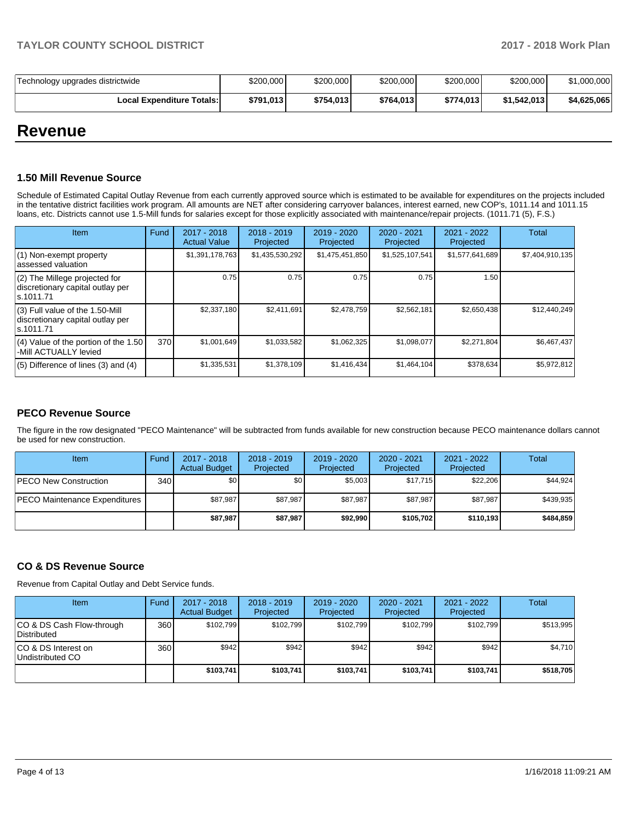| Technology upgrades districtwide | \$200.000 | \$200,000 | \$200,000 | \$200,000 | \$200,000   | \$1,000,000 |
|----------------------------------|-----------|-----------|-----------|-----------|-------------|-------------|
| Local Expenditure Totals: I      | \$791.013 | \$754.013 | \$764.013 | \$774.013 | \$1.542.013 | \$4,625,065 |

## **Revenue**

## **1.50 Mill Revenue Source**

Schedule of Estimated Capital Outlay Revenue from each currently approved source which is estimated to be available for expenditures on the projects included in the tentative district facilities work program. All amounts are NET after considering carryover balances, interest earned, new COP's, 1011.14 and 1011.15 loans, etc. Districts cannot use 1.5-Mill funds for salaries except for those explicitly associated with maintenance/repair projects. (1011.71 (5), F.S.)

| Item                                                                                | Fund | $2017 - 2018$<br><b>Actual Value</b> | $2018 - 2019$<br>Projected | $2019 - 2020$<br>Projected | $2020 - 2021$<br>Projected | 2021 - 2022<br>Projected | <b>Total</b>    |
|-------------------------------------------------------------------------------------|------|--------------------------------------|----------------------------|----------------------------|----------------------------|--------------------------|-----------------|
| $(1)$ Non-exempt property<br>lassessed valuation                                    |      | \$1,391,178,763                      | \$1,435,530,292            | \$1,475,451,850            | \$1,525,107,541            | \$1,577,641,689          | \$7,404,910,135 |
| $(2)$ The Millege projected for<br>discretionary capital outlay per<br>ls.1011.71   |      | 0.75                                 | 0.75                       | 0.75                       | 0.75                       | 1.50                     |                 |
| $(3)$ Full value of the 1.50-Mill<br>discretionary capital outlay per<br>ls.1011.71 |      | \$2,337,180                          | \$2,411,691                | \$2,478,759                | \$2,562,181                | \$2,650,438              | \$12,440,249    |
| $(4)$ Value of the portion of the 1.50<br>-Mill ACTUALLY levied                     | 370  | \$1.001.649                          | \$1,033,582                | \$1,062,325                | \$1,098,077                | \$2,271,804              | \$6,467,437     |
| $(5)$ Difference of lines $(3)$ and $(4)$                                           |      | \$1,335,531                          | \$1,378,109                | \$1,416,434                | \$1,464,104                | \$378,634                | \$5,972,812     |

## **PECO Revenue Source**

The figure in the row designated "PECO Maintenance" will be subtracted from funds available for new construction because PECO maintenance dollars cannot be used for new construction.

| <b>Item</b>                          | Fund         | 2017 - 2018<br><b>Actual Budget</b> | $2018 - 2019$<br>Projected | 2019 - 2020<br>Projected | 2020 - 2021<br>Projected | 2021 - 2022<br>Projected | Total     |
|--------------------------------------|--------------|-------------------------------------|----------------------------|--------------------------|--------------------------|--------------------------|-----------|
| <b>IPECO New Construction</b>        | 340 <b>I</b> | \$0                                 | \$0                        | \$5,003                  | \$17,715                 | \$22,206                 | \$44,924  |
| <b>PECO Maintenance Expenditures</b> |              | \$87.987                            | \$87,987                   | \$87.987                 | \$87.987                 | \$87.987                 | \$439,935 |
|                                      |              | \$87,987                            | \$87,987                   | \$92.990                 | \$105,702                | \$110.193                | \$484.859 |

## **CO & DS Revenue Source**

Revenue from Capital Outlay and Debt Service funds.

| Item                                      | Fund | $2017 - 2018$<br><b>Actual Budget</b> | $2018 - 2019$<br>Projected | $2019 - 2020$<br>Projected | $2020 - 2021$<br>Projected | $2021 - 2022$<br>Projected | <b>Total</b> |
|-------------------------------------------|------|---------------------------------------|----------------------------|----------------------------|----------------------------|----------------------------|--------------|
| ICO & DS Cash Flow-through<br>Distributed | 360  | \$102.799                             | \$102.799                  | \$102.799                  | \$102.799                  | \$102.799                  | \$513.995    |
| ICO & DS Interest on<br>Undistributed CO  | 360  | \$942                                 | \$942                      | \$942                      | \$942                      | \$942                      | \$4,710      |
|                                           |      | \$103,741                             | \$103,741                  | \$103,741                  | \$103,741                  | \$103,741                  | \$518,705    |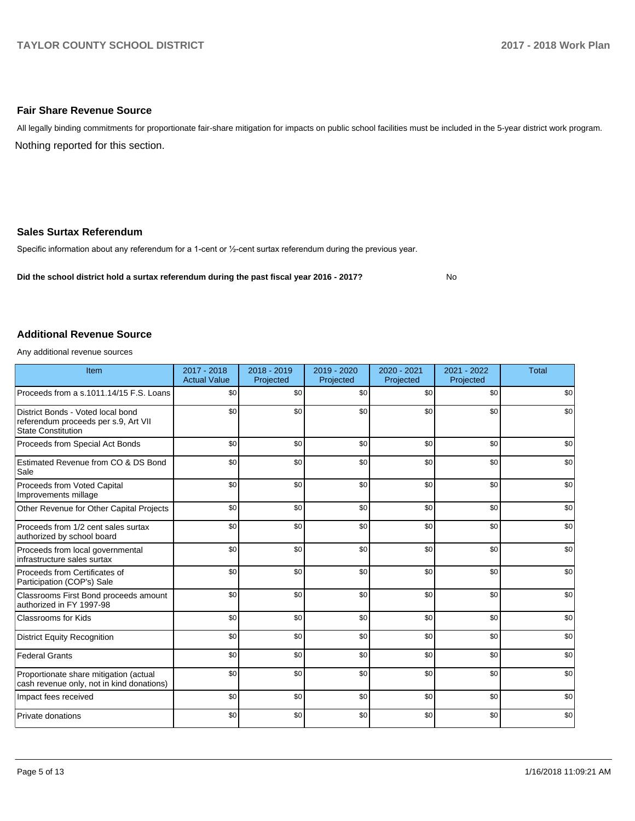## **Fair Share Revenue Source**

Nothing reported for this section. All legally binding commitments for proportionate fair-share mitigation for impacts on public school facilities must be included in the 5-year district work program.

## **Sales Surtax Referendum**

Specific information about any referendum for a 1-cent or 1/2-cent surtax referendum during the previous year.

**Did the school district hold a surtax referendum during the past fiscal year 2016 - 2017?**

No

## **Additional Revenue Source**

Any additional revenue sources

| Item                                                                                                   | $2017 - 2018$<br><b>Actual Value</b> | $2018 - 2019$<br>Projected | 2019 - 2020<br>Projected | 2020 - 2021<br>Projected | 2021 - 2022<br>Projected | <b>Total</b> |
|--------------------------------------------------------------------------------------------------------|--------------------------------------|----------------------------|--------------------------|--------------------------|--------------------------|--------------|
| Proceeds from a s.1011.14/15 F.S. Loans                                                                | \$0                                  | \$0                        | \$0                      | \$0                      | \$0                      | \$0          |
| District Bonds - Voted local bond<br>referendum proceeds per s.9, Art VII<br><b>State Constitution</b> | \$0                                  | \$0                        | \$0                      | \$0                      | \$0                      | \$0          |
| Proceeds from Special Act Bonds                                                                        | \$0                                  | \$0                        | \$0                      | \$0                      | \$0                      | \$0          |
| Estimated Revenue from CO & DS Bond<br>Sale                                                            | \$0                                  | \$0                        | \$0                      | \$0                      | \$0                      | \$0          |
| Proceeds from Voted Capital<br>Improvements millage                                                    | \$0                                  | \$0                        | \$0                      | \$0                      | \$0                      | \$0          |
| Other Revenue for Other Capital Projects                                                               | \$0                                  | \$0                        | \$0                      | \$0                      | \$0                      | \$0          |
| Proceeds from 1/2 cent sales surtax<br>authorized by school board                                      | \$0                                  | \$0                        | \$0                      | \$0                      | \$0                      | \$0          |
| Proceeds from local governmental<br>infrastructure sales surtax                                        | \$0                                  | \$0                        | \$0                      | \$0                      | \$0                      | \$0          |
| Proceeds from Certificates of<br>Participation (COP's) Sale                                            | \$0                                  | \$0                        | \$0                      | \$0                      | \$0                      | \$0          |
| Classrooms First Bond proceeds amount<br>authorized in FY 1997-98                                      | \$0                                  | \$0                        | \$0                      | \$0                      | \$0                      | \$0          |
| <b>Classrooms for Kids</b>                                                                             | \$0                                  | \$0                        | \$0                      | \$0                      | \$0                      | \$0          |
| <b>District Equity Recognition</b>                                                                     | \$0                                  | \$0                        | \$0                      | \$0                      | \$0                      | \$0          |
| <b>Federal Grants</b>                                                                                  | \$0                                  | \$0                        | \$0                      | \$0                      | \$0                      | \$0          |
| Proportionate share mitigation (actual<br>cash revenue only, not in kind donations)                    | \$0                                  | \$0                        | \$0                      | \$0                      | \$0                      | \$0          |
| Impact fees received                                                                                   | \$0                                  | \$0                        | \$0                      | \$0                      | \$0                      | \$0          |
| Private donations                                                                                      | \$0                                  | \$0                        | \$0                      | \$0                      | \$0                      | \$0          |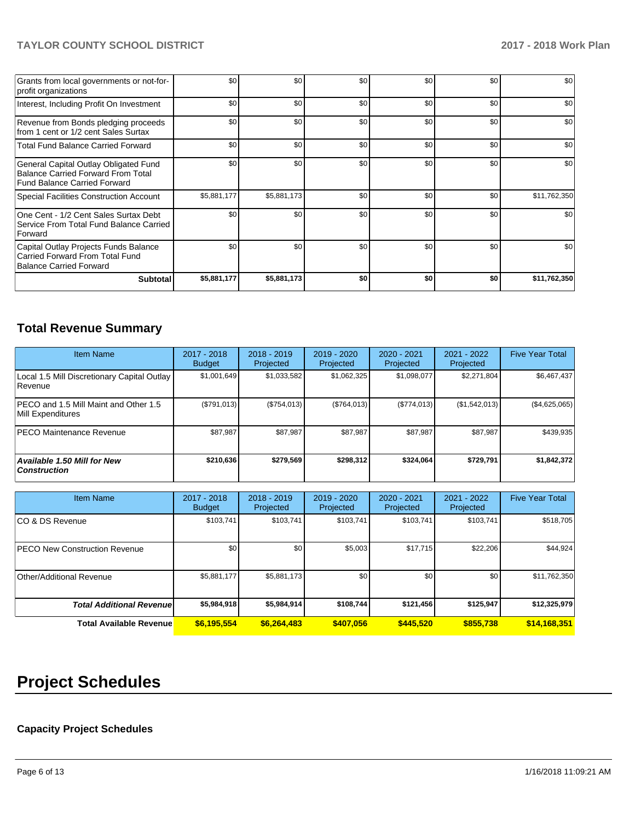## **TAYLOR COUNTY SCHOOL DISTRICT 2017 - 2018 Work Plan**

| Grants from local governments or not-for-<br>profit organizations                                                         | \$0         | \$0         | \$0 | \$0 | \$0 | \$0          |
|---------------------------------------------------------------------------------------------------------------------------|-------------|-------------|-----|-----|-----|--------------|
| Interest, Including Profit On Investment                                                                                  | \$0         | \$0         | \$0 | \$0 | \$0 | \$0          |
| Revenue from Bonds pledging proceeds<br>from 1 cent or 1/2 cent Sales Surtax                                              | \$0         | \$0         | \$0 | \$0 | \$0 | \$0          |
| <b>Total Fund Balance Carried Forward</b>                                                                                 | \$0         | \$0         | \$0 | \$0 | \$0 | \$0          |
| General Capital Outlay Obligated Fund<br><b>Balance Carried Forward From Total</b><br><b>Fund Balance Carried Forward</b> | \$0         | \$0         | \$0 | \$0 | \$0 | \$0          |
| <b>Special Facilities Construction Account</b>                                                                            | \$5,881,177 | \$5,881,173 | \$0 | \$0 | \$0 | \$11,762,350 |
| One Cent - 1/2 Cent Sales Surtax Debt<br>Service From Total Fund Balance Carried<br>Forward                               | \$0         | \$0         | \$0 | \$0 | \$0 | \$0          |
| Capital Outlay Projects Funds Balance<br>Carried Forward From Total Fund<br>Balance Carried Forward                       | \$0         | \$0         | \$0 | \$0 | \$0 | \$0          |
| <b>Subtotal</b>                                                                                                           | \$5,881,177 | \$5,881,173 | \$0 | \$0 | \$0 | \$11,762,350 |

## **Total Revenue Summary**

| <b>Item Name</b>                                              | 2017 - 2018<br><b>Budget</b> | $2018 - 2019$<br>Projected | $2019 - 2020$<br>Projected | $2020 - 2021$<br>Projected | 2021 - 2022<br>Projected | <b>Five Year Total</b> |
|---------------------------------------------------------------|------------------------------|----------------------------|----------------------------|----------------------------|--------------------------|------------------------|
| Local 1.5 Mill Discretionary Capital Outlay<br><b>Revenue</b> | \$1.001.649                  | \$1,033,582                | \$1,062,325                | \$1,098,077                | \$2,271,804              | \$6,467,437            |
| PECO and 1.5 Mill Maint and Other 1.5<br>Mill Expenditures    | (\$791,013)                  | (\$754,013)                | (\$764,013)                | (S774.013)                 | (\$1,542,013)            | (\$4,625,065)          |
| IPECO Maintenance Revenue                                     | \$87.987                     | \$87.987                   | \$87.987                   | \$87,987                   | \$87,987                 | \$439,935              |
| <b>Available 1.50 Mill for New</b><br><b>Construction</b>     | \$210,636                    | \$279,569                  | \$298,312                  | \$324.064                  | \$729.791                | \$1,842,372            |

| <b>Item Name</b>                      | 2017 - 2018<br><b>Budget</b> | $2018 - 2019$<br>Projected | 2019 - 2020<br>Projected | 2020 - 2021<br>Projected | 2021 - 2022<br>Projected | <b>Five Year Total</b> |
|---------------------------------------|------------------------------|----------------------------|--------------------------|--------------------------|--------------------------|------------------------|
| ICO & DS Revenue                      | \$103,741                    | \$103,741                  | \$103.741                | \$103,741                | \$103,741                | \$518,705              |
| <b>IPECO New Construction Revenue</b> | \$0                          | \$0                        | \$5,003                  | \$17,715                 | \$22,206                 | \$44,924               |
| Other/Additional Revenue              | \$5,881,177                  | \$5,881,173                | \$0                      | \$0                      | \$0                      | \$11,762,350           |
| <b>Total Additional Revenuel</b>      | \$5,984,918                  | \$5,984,914                | \$108,744                | \$121,456                | \$125,947                | \$12,325,979           |
| <b>Total Available Revenue</b>        | \$6,195,554                  | \$6,264,483                | \$407,056                | \$445,520                | \$855,738                | \$14,168,351           |

# **Project Schedules**

## **Capacity Project Schedules**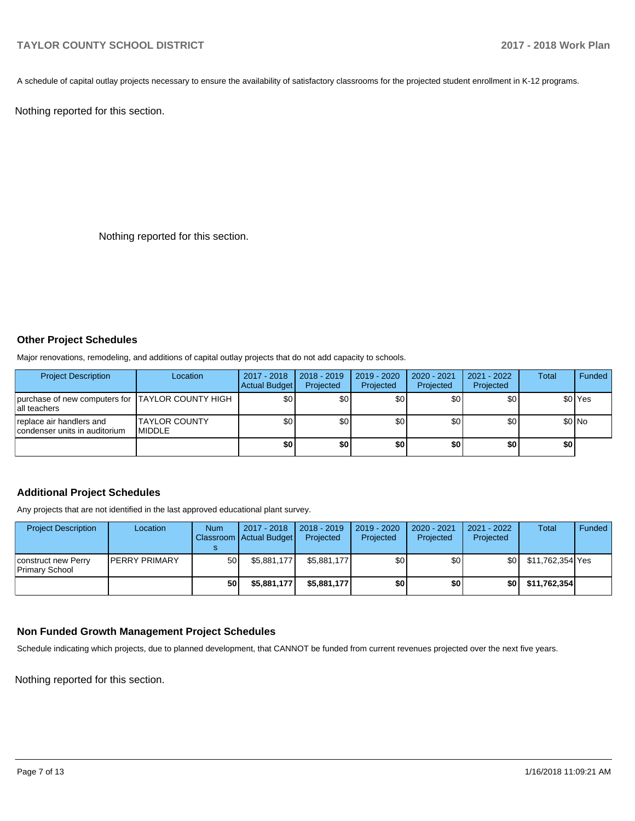A schedule of capital outlay projects necessary to ensure the availability of satisfactory classrooms for the projected student enrollment in K-12 programs.

Nothing reported for this section.

Nothing reported for this section.

#### **Other Project Schedules**

Major renovations, remodeling, and additions of capital outlay projects that do not add capacity to schools.

| <b>Project Description</b>                                        | Location                               | 2017 - 2018<br>Actual Budget | $2018 - 2019$<br>Projected | 2019 - 2020<br>Projected | 2020 - 2021<br>Projected | 2021 - 2022<br>Projected | <b>Total</b> | Funded             |
|-------------------------------------------------------------------|----------------------------------------|------------------------------|----------------------------|--------------------------|--------------------------|--------------------------|--------------|--------------------|
| purchase of new computers for TAYLOR COUNTY HIGH<br>lall teachers |                                        | \$0                          | ا 30                       | \$0                      | ا 30                     | \$0                      |              | \$0 <sup>Yes</sup> |
| replace air handlers and<br>condenser units in auditorium         | <b>ITAYLOR COUNTY</b><br><b>MIDDLE</b> | \$0                          | ا 30                       | \$0                      | ا 30                     | \$0                      |              | $$0$ No            |
|                                                                   |                                        | \$0                          | \$0                        | \$0                      | \$0                      | \$0                      | \$0          |                    |

## **Additional Project Schedules**

Any projects that are not identified in the last approved educational plant survey.

| <b>Project Description</b>            | Location              | <b>Num</b> | 2017 - 2018<br>Classroom Actual Budget | 2018 - 2019<br>Projected | $2019 - 2020$<br>Projected | $2020 - 2021$<br>Projected | 2021 - 2022<br>Projected | <b>Total</b>     | Funded |
|---------------------------------------|-----------------------|------------|----------------------------------------|--------------------------|----------------------------|----------------------------|--------------------------|------------------|--------|
| construct new Perry<br>Primary School | <b>IPERRY PRIMARY</b> | 50 l       | \$5.881.177                            | \$5.881.177              | \$0                        | \$0                        | \$0                      | \$11,762,354 Yes |        |
|                                       |                       | 50         | \$5,881.177                            | \$5,881,177              | \$0                        | \$0                        | \$0                      | \$11,762,354     |        |

## **Non Funded Growth Management Project Schedules**

Schedule indicating which projects, due to planned development, that CANNOT be funded from current revenues projected over the next five years.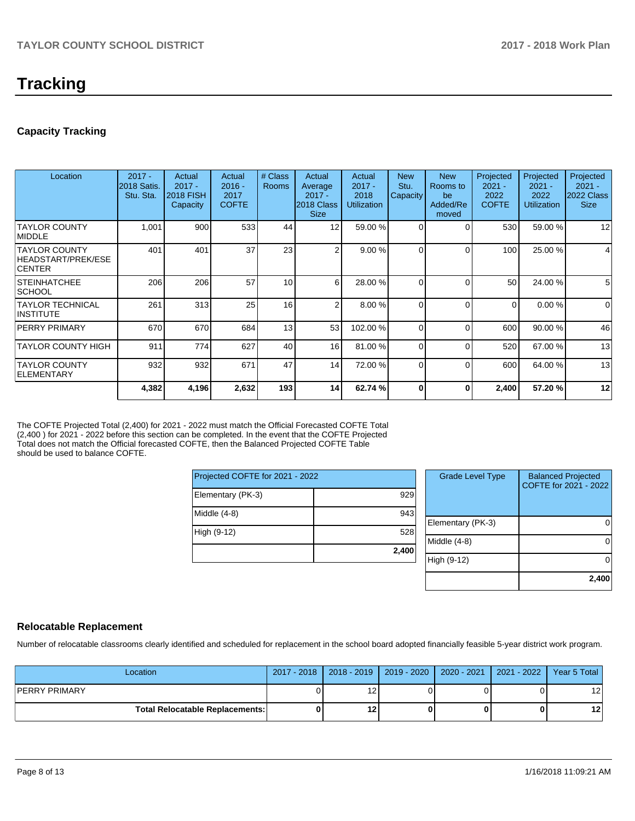## **Tracking**

## **Capacity Tracking**

| Location                                                    | $2017 -$<br>2018 Satis.<br>Stu. Sta. | Actual<br>$2017 -$<br><b>2018 FISH</b><br><b>Capacity</b> | Actual<br>$2016 -$<br>2017<br><b>COFTE</b> | # Class<br><b>Rooms</b> | Actual<br>Average<br>$2017 -$<br>2018 Class<br><b>Size</b> | Actual<br>$2017 -$<br>2018<br><b>Utilization</b> | <b>New</b><br>Stu.<br>Capacity | <b>New</b><br>Rooms to<br>be<br>Added/Re<br>moved | Projected<br>$2021 -$<br>2022<br><b>COFTE</b> | Projected<br>$2021 -$<br>2022<br><b>Utilization</b> | Projected<br>$2021 -$<br>2022 Class<br><b>Size</b> |
|-------------------------------------------------------------|--------------------------------------|-----------------------------------------------------------|--------------------------------------------|-------------------------|------------------------------------------------------------|--------------------------------------------------|--------------------------------|---------------------------------------------------|-----------------------------------------------|-----------------------------------------------------|----------------------------------------------------|
| <b>TAYLOR COUNTY</b><br><b>IMIDDLE</b>                      | 1,001                                | 900                                                       | 533                                        | 44                      | 12                                                         | 59.00 %                                          | 0                              | $\Omega$                                          | 530                                           | 59.00 %                                             | 12                                                 |
| <b>TAYLOR COUNTY</b><br>HEADSTART/PREK/ESE<br><b>CENTER</b> | 401                                  | 401                                                       | 37                                         | 23                      | 2                                                          | 9.00%                                            | <sup>0</sup>                   | $\Omega$                                          | 100 <sub>l</sub>                              | 25.00 %                                             | 4                                                  |
| ISTEINHATCHEE<br><b>SCHOOL</b>                              | 206                                  | 206                                                       | 57                                         | 10                      | 6                                                          | 28.00 %                                          |                                | $\Omega$                                          | 50                                            | 24.00 %                                             | 5                                                  |
| <b>TAYLOR TECHNICAL</b><br>INSTITUTE                        | 261                                  | 313                                                       | 25                                         | 16                      | 2                                                          | 8.00 %                                           | 0                              | $\Omega$                                          | $\Omega$                                      | 0.00%                                               | $\mathbf 0$                                        |
| <b>IPERRY PRIMARY</b>                                       | 670                                  | 670                                                       | 684                                        | 13                      | 53                                                         | 102.00%                                          | 0                              | $\Omega$                                          | 600                                           | 90.00 %                                             | 46                                                 |
| <b>TAYLOR COUNTY HIGH</b>                                   | 911                                  | 774                                                       | 627                                        | 40                      | 16                                                         | 81.00 %                                          | 0                              | $\Omega$                                          | 520                                           | 67.00 %                                             | 13                                                 |
| <b>TAYLOR COUNTY</b><br>ELEMENTARY                          | 932                                  | 932                                                       | 671                                        | 47                      | 14                                                         | 72.00 %                                          | $\Omega$                       | $\Omega$                                          | 600                                           | 64.00 %                                             | 13                                                 |
|                                                             | 4,382                                | 4,196                                                     | 2,632                                      | 193                     | 14                                                         | 62.74 %                                          | 0                              | 0                                                 | 2,400                                         | 57.20 %                                             | 12                                                 |

The COFTE Projected Total (2,400) for 2021 - 2022 must match the Official Forecasted COFTE Total (2,400 ) for 2021 - 2022 before this section can be completed. In the event that the COFTE Projected Total does not match the Official forecasted COFTE, then the Balanced Projected COFTE Table should be used to balance COFTE.

| Projected COFTE for 2021 - 2022 |       |  |  |  |  |  |
|---------------------------------|-------|--|--|--|--|--|
| Elementary (PK-3)               | 929   |  |  |  |  |  |
| Middle $(4-8)$                  | 943   |  |  |  |  |  |
| High (9-12)                     | 528   |  |  |  |  |  |
|                                 | 2,400 |  |  |  |  |  |

| <b>Grade Level Type</b> | <b>Balanced Projected</b><br>COFTE for 2021 - 2022 |
|-------------------------|----------------------------------------------------|
| Elementary (PK-3)       |                                                    |
| Middle $(4-8)$          |                                                    |
| High (9-12)             |                                                    |
|                         | 2,400                                              |

## **Relocatable Replacement**

Number of relocatable classrooms clearly identified and scheduled for replacement in the school board adopted financially feasible 5-year district work program.

| Location                               |   | 2017 - 2018   2018 - 2019   2019 - 2020   2020 - 2021   2021 - 2022   Year 5 Total |  |                 |
|----------------------------------------|---|------------------------------------------------------------------------------------|--|-----------------|
| IPERRY PRIMARY                         |   |                                                                                    |  | 12              |
| <b>Total Relocatable Replacements:</b> | 0 | 12 <sub>1</sub>                                                                    |  | 12 <sub>1</sub> |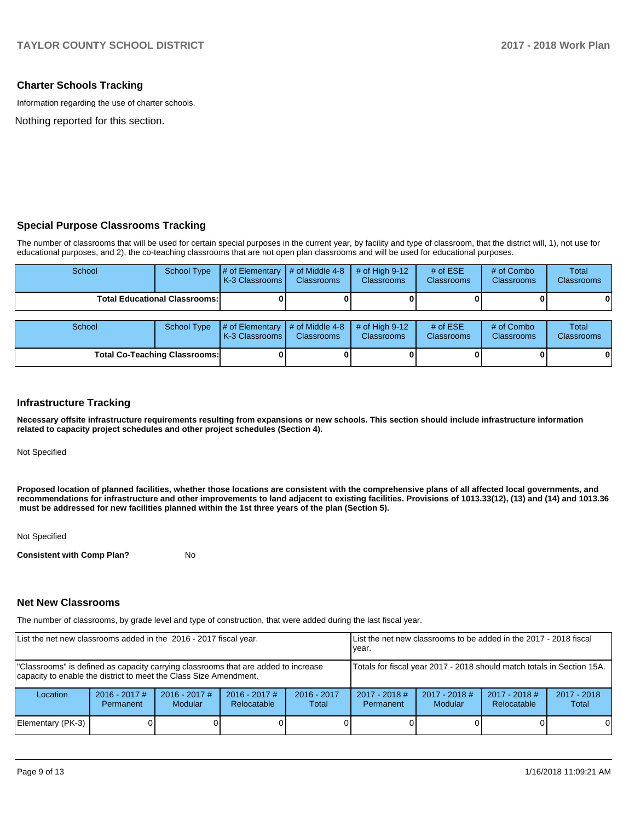### **Charter Schools Tracking**

Information regarding the use of charter schools.

Nothing reported for this section.

## **Special Purpose Classrooms Tracking**

The number of classrooms that will be used for certain special purposes in the current year, by facility and type of classroom, that the district will, 1), not use for educational purposes, and 2), the co-teaching classrooms that are not open plan classrooms and will be used for educational purposes.

| School                               | School Type | $\#$ of Elementary $\#$ of Middle 4-8<br><b>K-3 Classrooms</b>                       | <b>Classrooms</b> | $\#$ of High 9-12<br><b>Classrooms</b> | # of $ESE$<br><b>Classrooms</b> | # of Combo<br><b>Classrooms</b> | Total<br><b>Classrooms</b> |
|--------------------------------------|-------------|--------------------------------------------------------------------------------------|-------------------|----------------------------------------|---------------------------------|---------------------------------|----------------------------|
| <b>Total Educational Classrooms:</b> |             |                                                                                      |                   |                                        |                                 |                                 | 0                          |
|                                      |             |                                                                                      |                   |                                        |                                 |                                 |                            |
| School                               | School Type | $\parallel$ # of Elementary $\parallel$ # of Middle 4-8<br>$K$ 2 Clossrooms $\vdash$ | Clossrooms        | $\#$ of High 9-12<br>Classrooms        | # of $ESE$<br>Clossrooms        | # of Combo<br>Clossrooms        | Total<br>Clossrooms        |

| School                               |  | School Type $\parallel \#$ of Elementary $\parallel \#$ of Middle 4-8 $\parallel \#$ of High 9-12<br>K-3 Classrooms I | <b>Classrooms</b> | <b>Classrooms</b> | # of $ESE$<br><b>Classrooms</b> | # of Combo<br><b>Classrooms</b> | Total<br><b>Classrooms</b> |
|--------------------------------------|--|-----------------------------------------------------------------------------------------------------------------------|-------------------|-------------------|---------------------------------|---------------------------------|----------------------------|
| <b>Total Co-Teaching Classrooms:</b> |  |                                                                                                                       |                   |                   |                                 | 0                               |                            |

#### **Infrastructure Tracking**

**Necessary offsite infrastructure requirements resulting from expansions or new schools. This section should include infrastructure information related to capacity project schedules and other project schedules (Section 4).** 

Not Specified

**Proposed location of planned facilities, whether those locations are consistent with the comprehensive plans of all affected local governments, and recommendations for infrastructure and other improvements to land adjacent to existing facilities. Provisions of 1013.33(12), (13) and (14) and 1013.36 must be addressed for new facilities planned within the 1st three years of the plan (Section 5).** 

Not Specified

**Consistent with Comp Plan?** No

#### **Net New Classrooms**

The number of classrooms, by grade level and type of construction, that were added during the last fiscal year.

| List the net new classrooms added in the 2016 - 2017 fiscal year.                                                                                       |                                                                        |                            | List the net new classrooms to be added in the 2017 - 2018 fiscal<br>year. |                        |                                                                                                                                      |  |  |          |  |
|---------------------------------------------------------------------------------------------------------------------------------------------------------|------------------------------------------------------------------------|----------------------------|----------------------------------------------------------------------------|------------------------|--------------------------------------------------------------------------------------------------------------------------------------|--|--|----------|--|
| "Classrooms" is defined as capacity carrying classrooms that are added to increase<br>capacity to enable the district to meet the Class Size Amendment. | Totals for fiscal year 2017 - 2018 should match totals in Section 15A. |                            |                                                                            |                        |                                                                                                                                      |  |  |          |  |
| Location                                                                                                                                                | $2016 - 2017$ #<br>Permanent                                           | $2016 - 2017$ #<br>Modular | $2016 - 2017$ #<br>Relocatable                                             | $2016 - 2017$<br>Total | $2017 - 2018$ #<br>$2017 - 2018$ #<br>$2017 - 2018$<br>$2017 - 2018$ #<br>Relocatable<br><b>Modular</b><br>Total<br><b>Permanent</b> |  |  |          |  |
| Elementary (PK-3)                                                                                                                                       |                                                                        |                            |                                                                            |                        |                                                                                                                                      |  |  | $\Omega$ |  |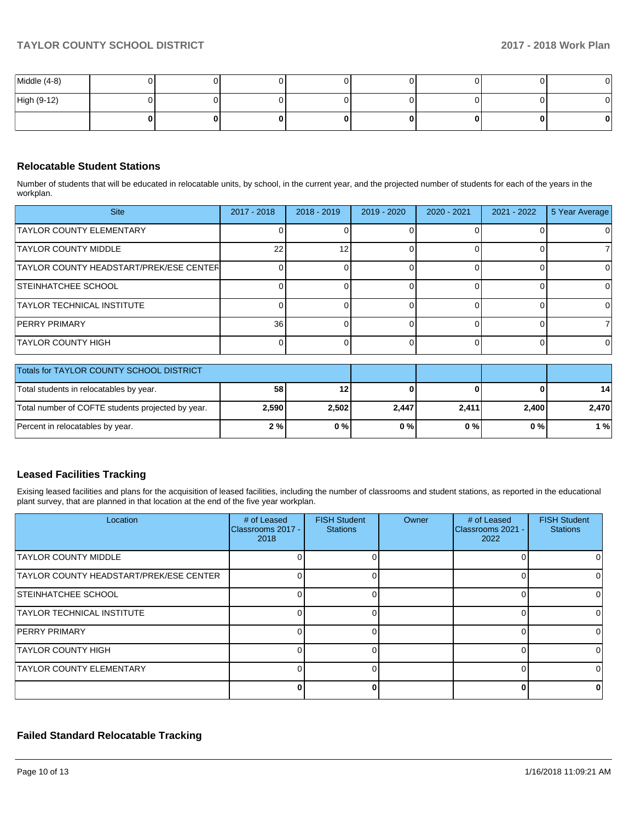| Middle (4-8) |    |   |  |    |
|--------------|----|---|--|----|
| High (9-12)  |    |   |  | OΙ |
|              | 01 | n |  |    |

## **Relocatable Student Stations**

Number of students that will be educated in relocatable units, by school, in the current year, and the projected number of students for each of the years in the workplan.

| <b>Site</b>                                    | $2017 - 2018$ | $2018 - 2019$ | $2019 - 2020$ | 2020 - 2021 | $2021 - 2022$ | 5 Year Average |
|------------------------------------------------|---------------|---------------|---------------|-------------|---------------|----------------|
| TAYLOR COUNTY ELEMENTARY                       |               |               |               |             |               |                |
| <b>TAYLOR COUNTY MIDDLE</b>                    | 22            | 12            |               |             |               |                |
| <b>TAYLOR COUNTY HEADSTART/PREK/ESE CENTER</b> |               |               |               |             |               |                |
| <b>ISTEINHATCHEE SCHOOL</b>                    |               |               |               |             |               |                |
| <b>TAYLOR TECHNICAL INSTITUTE</b>              |               |               |               |             |               |                |
| <b>PERRY PRIMARY</b>                           | <b>36</b>     |               |               |             |               |                |
| ITAYLOR COUNTY HIGH                            |               |               |               |             |               |                |

| <b>Totals for TAYLOR COUNTY SCHOOL DISTRICT</b>   |           |       |       |       |       |                 |
|---------------------------------------------------|-----------|-------|-------|-------|-------|-----------------|
| Total students in relocatables by year.           | <b>58</b> | 12    |       |       |       | 14 <sup>1</sup> |
| Total number of COFTE students projected by year. | 2,590     | 2,502 | 2,447 | 2,411 | 2,400 | 2,470           |
| Percent in relocatables by year.                  | 2%        | 0%    | 0%    | 0 % I | 0 % I | 1 % l           |

## **Leased Facilities Tracking**

Exising leased facilities and plans for the acquisition of leased facilities, including the number of classrooms and student stations, as reported in the educational plant survey, that are planned in that location at the end of the five year workplan.

| Location                                | # of Leased<br>Classrooms 2017 -<br>2018 | <b>FISH Student</b><br><b>Stations</b> | Owner | # of Leased<br>Classrooms 2021 -<br>2022 | <b>FISH Student</b><br><b>Stations</b> |
|-----------------------------------------|------------------------------------------|----------------------------------------|-------|------------------------------------------|----------------------------------------|
| <b>TAYLOR COUNTY MIDDLE</b>             |                                          |                                        |       |                                          |                                        |
| TAYLOR COUNTY HEADSTART/PREK/ESE CENTER | 0                                        |                                        |       | 0                                        |                                        |
| <b>ISTEINHATCHEE SCHOOL</b>             |                                          |                                        |       | 0                                        |                                        |
| <b>TAYLOR TECHNICAL INSTITUTE</b>       | ∩                                        |                                        |       | $\Omega$                                 |                                        |
| <b>PERRY PRIMARY</b>                    |                                          |                                        |       |                                          |                                        |
| <b>TAYLOR COUNTY HIGH</b>               |                                          |                                        |       | $\Omega$                                 |                                        |
| <b>TAYLOR COUNTY ELEMENTARY</b>         |                                          |                                        |       | $\Omega$                                 |                                        |
|                                         | n                                        |                                        |       | O                                        |                                        |

## **Failed Standard Relocatable Tracking**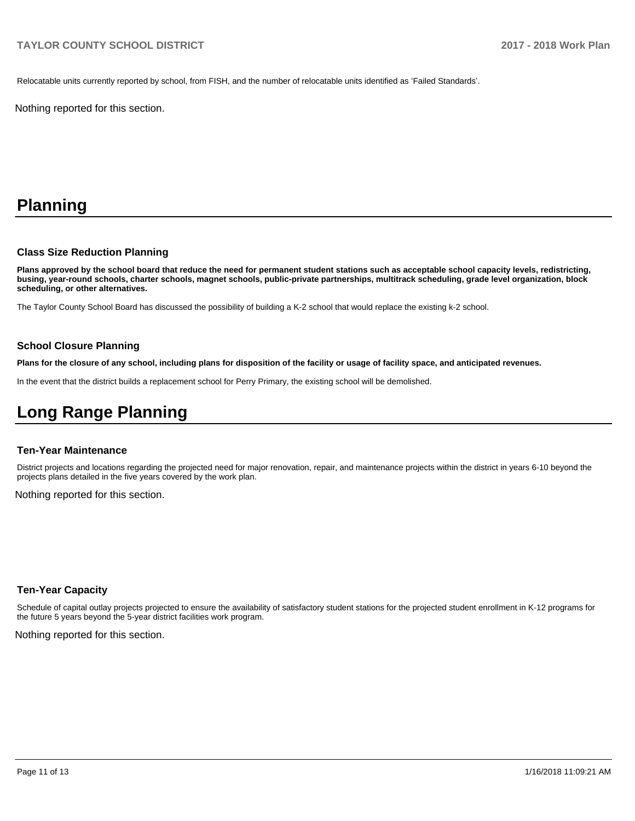Relocatable units currently reported by school, from FISH, and the number of relocatable units identified as 'Failed Standards'.

Nothing reported for this section.

## **Planning**

#### **Class Size Reduction Planning**

**Plans approved by the school board that reduce the need for permanent student stations such as acceptable school capacity levels, redistricting, busing, year-round schools, charter schools, magnet schools, public-private partnerships, multitrack scheduling, grade level organization, block scheduling, or other alternatives.**

The Taylor County School Board has discussed the possibility of building a K-2 school that would replace the existing k-2 school.

#### **School Closure Planning**

**Plans for the closure of any school, including plans for disposition of the facility or usage of facility space, and anticipated revenues.** 

In the event that the district builds a replacement school for Perry Primary, the existing school will be demolished.

## **Long Range Planning**

#### **Ten-Year Maintenance**

District projects and locations regarding the projected need for major renovation, repair, and maintenance projects within the district in years 6-10 beyond the projects plans detailed in the five years covered by the work plan.

Nothing reported for this section.

#### **Ten-Year Capacity**

Schedule of capital outlay projects projected to ensure the availability of satisfactory student stations for the projected student enrollment in K-12 programs for the future 5 years beyond the 5-year district facilities work program.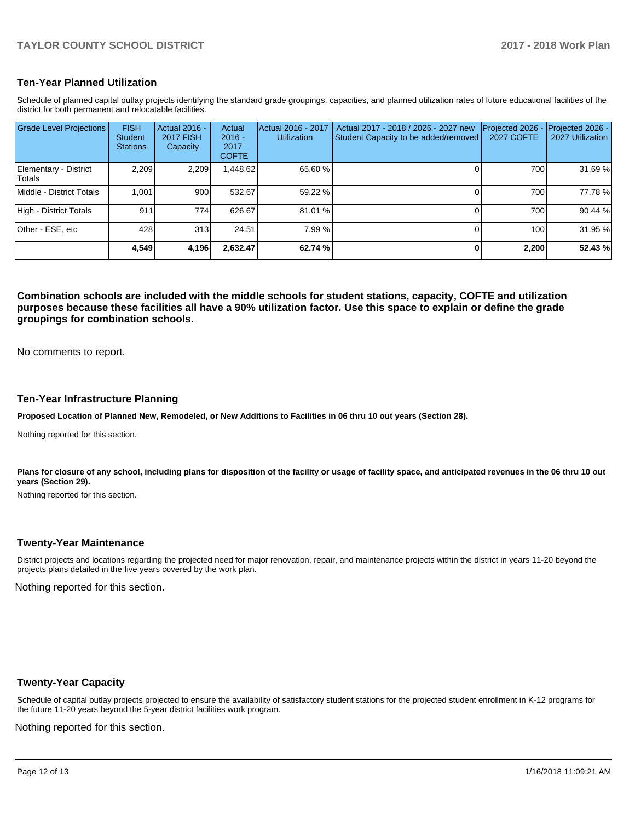## **Ten-Year Planned Utilization**

Schedule of planned capital outlay projects identifying the standard grade groupings, capacities, and planned utilization rates of future educational facilities of the district for both permanent and relocatable facilities.

| Grade Level Projections          | <b>FISH</b><br><b>Student</b><br><b>Stations</b> | Actual 2016 -<br><b>2017 FISH</b><br>Capacity | Actual<br>$2016 -$<br>2017<br><b>COFTE</b> | Actual 2016 - 2017<br><b>Utilization</b> | Actual 2017 - 2018 / 2026 - 2027 new<br>Student Capacity to be added/removed | Projected 2026<br><b>2027 COFTE</b> | Projected 2026 -<br>2027 Utilization |
|----------------------------------|--------------------------------------------------|-----------------------------------------------|--------------------------------------------|------------------------------------------|------------------------------------------------------------------------------|-------------------------------------|--------------------------------------|
| Elementary - District<br>lTotals | 2.209                                            | 2.209                                         | ,448.62                                    | 65.60 %                                  |                                                                              | 700                                 | 31.69 %                              |
| Middle - District Totals         | 1.001                                            | 900                                           | 532.67                                     | 59.22 %                                  |                                                                              | 700                                 | 77.78 %                              |
| High - District Totals           | 911                                              | 774 l                                         | 626.67                                     | 81.01 %                                  |                                                                              | 700                                 | 90.44%                               |
| Other - ESE, etc                 | 428                                              | 313                                           | 24.51                                      | 7.99 %                                   |                                                                              | 100                                 | 31.95 %                              |
|                                  | 4,549                                            | 4,196                                         | 2,632.47                                   | 62.74 %                                  |                                                                              | 2,200                               | 52.43 %                              |

**Combination schools are included with the middle schools for student stations, capacity, COFTE and utilization purposes because these facilities all have a 90% utilization factor. Use this space to explain or define the grade groupings for combination schools.** 

No comments to report.

#### **Ten-Year Infrastructure Planning**

**Proposed Location of Planned New, Remodeled, or New Additions to Facilities in 06 thru 10 out years (Section 28).**

Nothing reported for this section.

Plans for closure of any school, including plans for disposition of the facility or usage of facility space, and anticipated revenues in the 06 thru 10 out **years (Section 29).**

Nothing reported for this section.

### **Twenty-Year Maintenance**

District projects and locations regarding the projected need for major renovation, repair, and maintenance projects within the district in years 11-20 beyond the projects plans detailed in the five years covered by the work plan.

Nothing reported for this section.

### **Twenty-Year Capacity**

Schedule of capital outlay projects projected to ensure the availability of satisfactory student stations for the projected student enrollment in K-12 programs for the future 11-20 years beyond the 5-year district facilities work program.